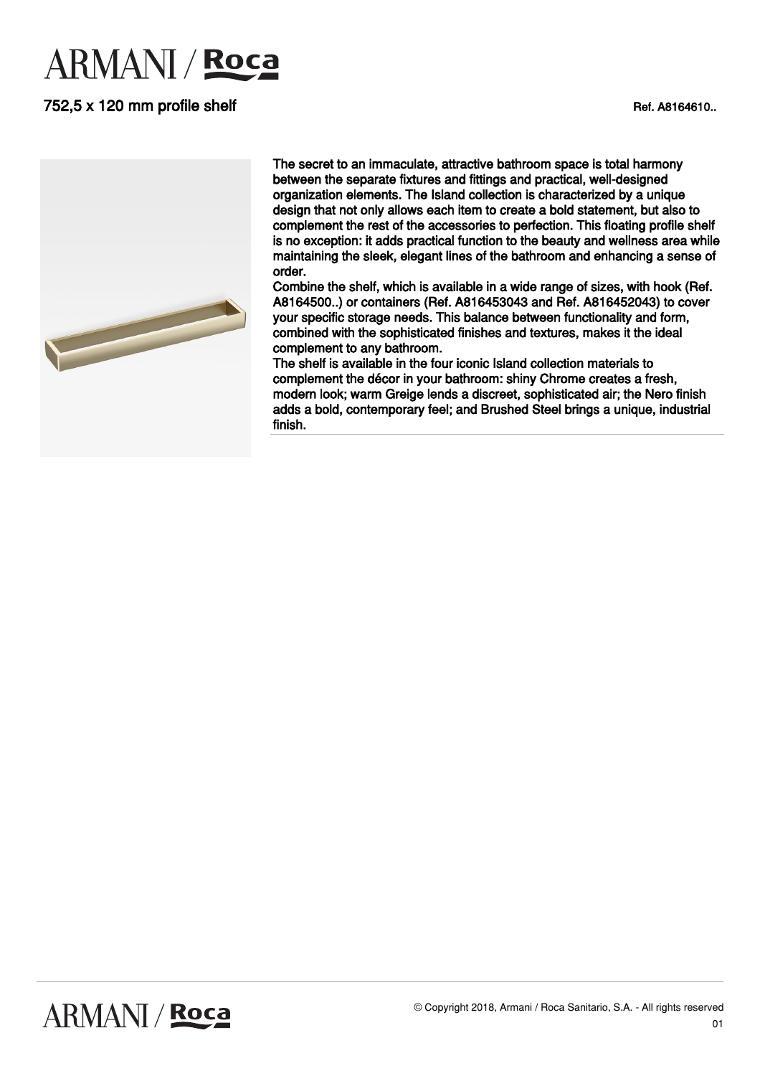# **ARMANI** / Roca

# 752,5 x 120 mm profile shelf Ref. A8164610...





The secret to an immaculate, attractive bathroom space is total harmony between the separate fixtures and fittings and practical, well-designed organization elements. The Island collection is characterized by a unique design that not only allows each item to create a bold statement, but also to complement the rest of the accessories to perfection. This floating profile shelf is no exception: it adds practical function to the beauty and wellness area while maintaining the sleek, elegant lines of the bathroom and enhancing a sense of order.

Combine the shelf, which is available in a wide range of sizes, with hook (Ref. A8164500..) or containers (Ref. A816453043 and Ref. A816452043) to cover your specific storage needs. This balance between functionality and form, combined with the sophisticated finishes and textures, makes it the ideal complement to any bathroom.

The shelf is available in the four iconic Island collection materials to complement the décor in your bathroom: shiny Chrome creates a fresh, modern look; warm Greige lends a discreet, sophisticated air; the Nero finish adds a bold, contemporary feel; and Brushed Steel brings a unique, industrial finish.

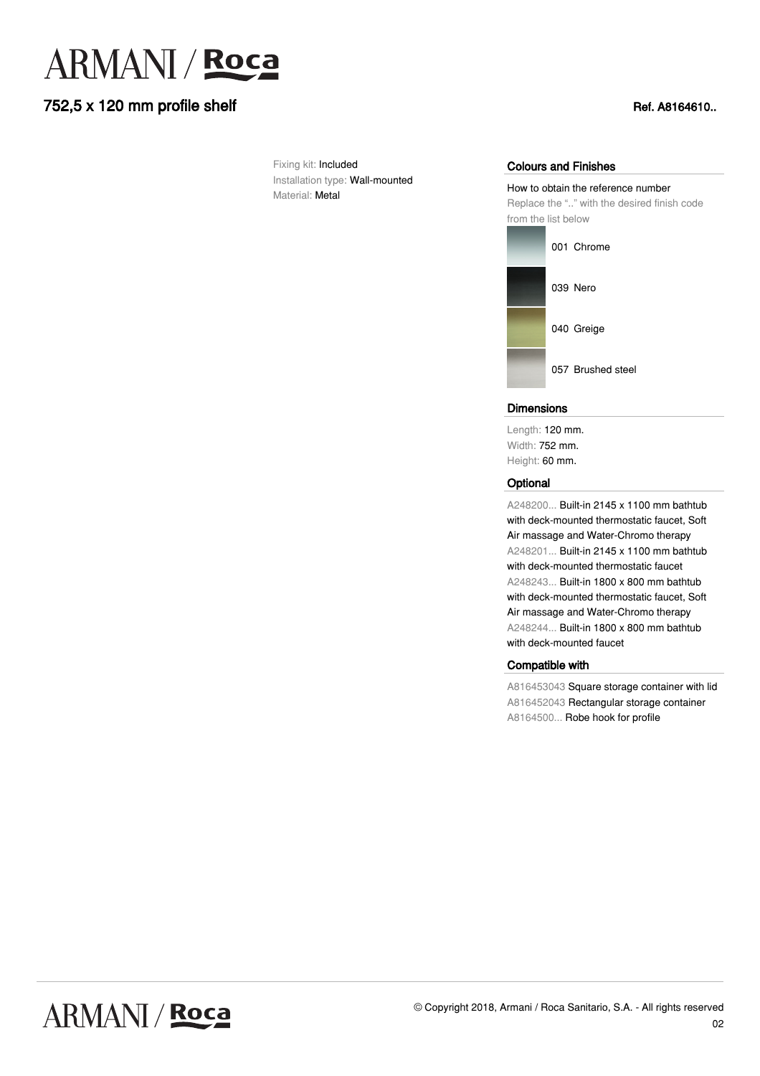

## 752,5 x 120 mm profile shelf Ref. A8164610...

Fixing kit: Included Installation type: Wall-mounted Material: Metal

#### Colours and Finishes

How to obtain the reference number Replace the ".." with the desired finish code from the list below



#### **Dimensions**

Length: 120 mm. Width: 752 mm. Height: 60 mm.

#### **Optional**

A248200... Built-in 2145 x 1100 mm bathtub with deck-mounted thermostatic faucet, Soft Air massage and Water-Chromo therapy A248201... Built-in 2145 x 1100 mm bathtub with deck-mounted thermostatic faucet A248243... Built-in 1800 x 800 mm bathtub with deck-mounted thermostatic faucet, Soft Air massage and Water-Chromo therapy A248244... Built-in 1800 x 800 mm bathtub with deck-mounted faucet

### Compatible with

A816453043 Square storage container with lid A816452043 Rectangular storage container A8164500... Robe hook for profile

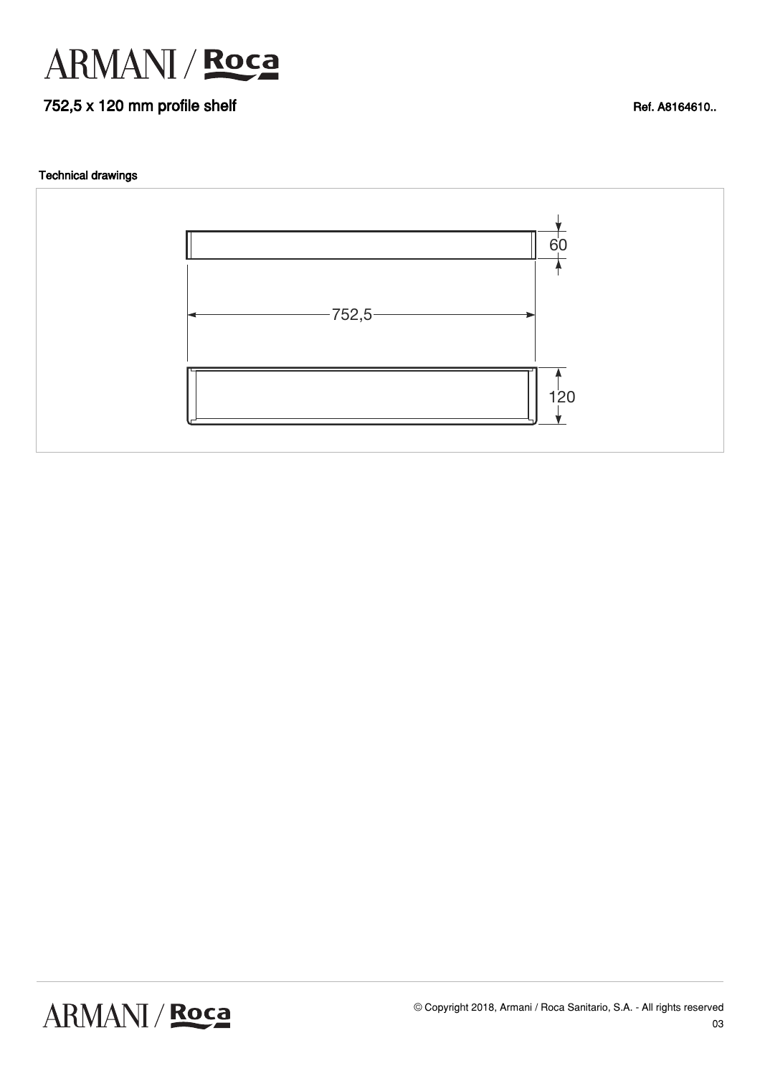

# 752,5 x 120 mm profile shelf Ref. A8164610..

#### Technical drawings